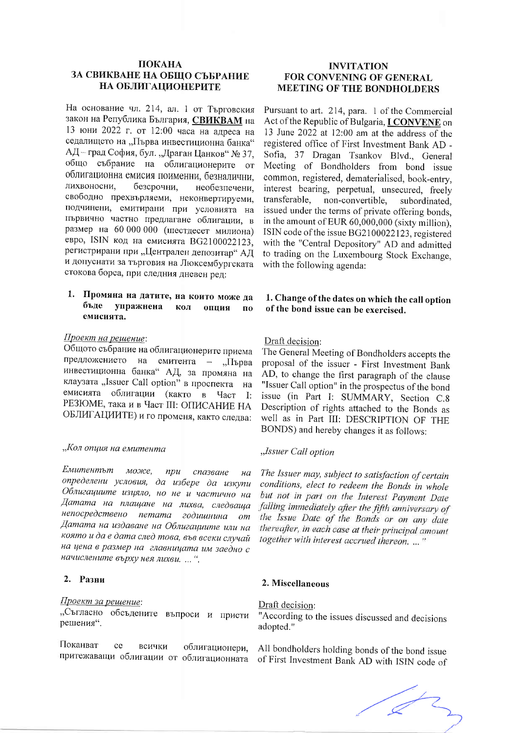# ПОКАНА ЗА СВИКВАНЕ НА ОБЩО СЪБРАНИЕ НА ОБЛИГАЦИОНЕРИТЕ

На основание чл. 214, ал. 1 от Търговския закон на Република България, СВИКВАМ на 13 юни 2022 г. от 12:00 часа на алреса на седалището на "Първа инвестиционна банка" АД-град София, бул. "Драган Цанков" № 37, общо събрание на облигационерите от облигационна емисия поименни, безналични, лихвоносни, безсрочни, необезпечени, свободно прехвърляеми, неконвертируеми, подчинени, емитирани при условията на първично частно предлагане облигации, в размер на 60 000 000 (шестдесет милиона) евро, ISIN код на емисията BG2100022123, регистрирани при "Централен депозитар" АД и допуснати за търговия на Люксембургската стокова борса, при следния дневен ред:

#### 1. Промяна на датите, на които може да бъде упражнена кол опция  $\mathbf{u}$ емисията.

### Проект на решение:

Общото събрание на облигационерите приема предложението на емитента - "Първа инвестиционна банка" АД, за промяна на клаузата "Issuer Call option" в проспекта на емисията облигации (както в Част I: РЕЗЮМЕ, така и в Част III: ОПИСАНИЕ НА ОБЛИГАЦИИТЕ) и го променя, както следва:

# "Кол опция на емитента

Емитентът може, npu спазване  $Ha$ определени условия, да избере да изкупи Облигациите изцяло, но не и частично на Датата на плащане на лихва, следваща непосредствено петата годишнина от Датата на издаване на Облигациите или на която и да е дата след това, във всеки случай на цена в размер на главницата им заедно с начислените върху нея лихви....".

#### 2. Разни

#### Проект за решение:

"Съгласно обсъдените въпроси и приети решения".

Поканват ce всички облигационери,

### **INVITATION** FOR CONVENING OF GENERAL **MEETING OF THE BONDHOLDERS**

Pursuant to art. 214, para. 1 of the Commercial Act of the Republic of Bulgaria, *ICONVENE* on 13 June 2022 at 12:00 am at the address of the registered office of First Investment Bank AD -Sofia, 37 Dragan Tsankov Blvd., General Meeting of Bondholders from bond issue common, registered, dematerialised, book-entry, interest bearing, perpetual, unsecured, freely transferable, non-convertible, subordinated. issued under the terms of private offering bonds, in the amount of EUR 60,000,000 (sixty million), ISIN code of the issue BG2100022123, registered with the "Central Depository" AD and admitted to trading on the Luxembourg Stock Exchange, with the following agenda:

# 1. Change of the dates on which the call option of the bond issue can be exercised.

# Draft decision:

The General Meeting of Bondholders accepts the proposal of the issuer - First Investment Bank AD, to change the first paragraph of the clause "Issuer Call option" in the prospectus of the bond issue (in Part I: SUMMARY, Section C.8 Description of rights attached to the Bonds as well as in Part III: DESCRIPTION OF THE BONDS) and hereby changes it as follows:

#### "Issuer Call option

The Issuer may, subject to satisfaction of certain conditions, elect to redeem the Bonds in whole but not in part on the Interest Payment Date falling immediately after the fifth anniversary of the Issue Date of the Bonds or on any date thereafter, in each case at their principal amount together with interest accrued thereon. ..."

#### 2. Miscellaneous

# Draft decision:

"According to the issues discussed and decisions adopted."

All bondholders holding bonds of the bond issue притежаващи облигации от облигационната of First Investment Bank AD with ISIN code of